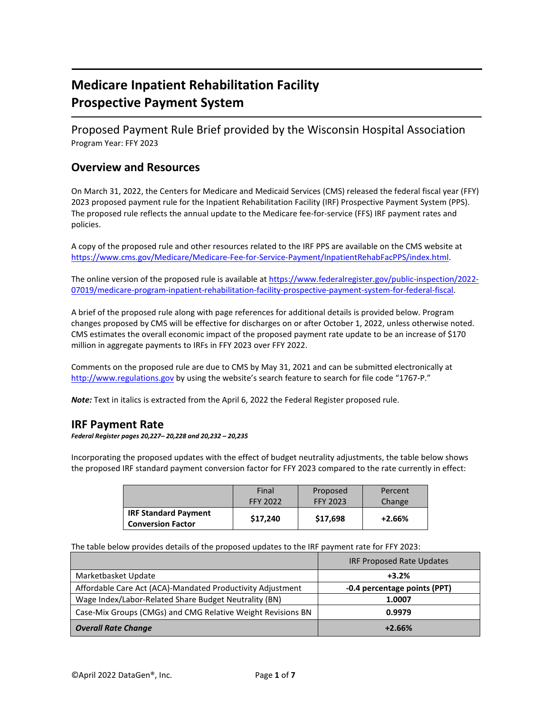# **Medicare Inpatient Rehabilitation Facility Prospective Payment System**

Proposed Payment Rule Brief provided by the Wisconsin Hospital Association Program Year: FFY 2023

### **Overview and Resources**

On March 31, 2022, the Centers for Medicare and Medicaid Services (CMS) released the federal fiscal year (FFY) 2023 proposed payment rule for the Inpatient Rehabilitation Facility (IRF) Prospective Payment System (PPS). The proposed rule reflects the annual update to the Medicare fee-for-service (FFS) IRF payment rates and policies.

A copy of the proposed rule and other resources related to the IRF PPS are available on the CMS website at [https://www.cms.gov/Medicare/Medicare-Fee-for-Service-Payment/InpatientRehabFacPPS/index.html.](https://www.cms.gov/Medicare/Medicare-Fee-for-Service-Payment/InpatientRehabFacPPS/index.html)

The online version of the proposed rule is available at [https://www.federalregister.gov/public-inspection/2022-](https://www.federalregister.gov/public-inspection/2022-07019/medicare-program-inpatient-rehabilitation-facility-prospective-payment-system-for-federal-fiscal) [07019/medicare-program-inpatient-rehabilitation-facility-prospective-payment-system-for-federal-fiscal.](https://www.federalregister.gov/public-inspection/2022-07019/medicare-program-inpatient-rehabilitation-facility-prospective-payment-system-for-federal-fiscal)

A brief of the proposed rule along with page references for additional details is provided below. Program changes proposed by CMS will be effective for discharges on or after October 1, 2022, unless otherwise noted. CMS estimates the overall economic impact of the proposed payment rate update to be an increase of \$170 million in aggregate payments to IRFs in FFY 2023 over FFY 2022.

Comments on the proposed rule are due to CMS by May 31, 2021 and can be submitted electronically at [http://www.regulations.gov](http://www.regulations.gov/) by using the website's search feature to search for file code "1767-P."

*Note:* Text in italics is extracted from the April 6, 2022 the Federal Register proposed rule.

### **IRF Payment Rate**

*Federal Register pages 20,227– 20,228 and 20,232 – 20,235*

Incorporating the proposed updates with the effect of budget neutrality adjustments, the table below shows the proposed IRF standard payment conversion factor for FFY 2023 compared to the rate currently in effect:

|                                                         | Final    | Proposed | Percent  |
|---------------------------------------------------------|----------|----------|----------|
|                                                         | FFY 2022 | FFY 2023 | Change   |
| <b>IRF Standard Payment</b><br><b>Conversion Factor</b> | \$17,240 | \$17,698 | $+2.66%$ |

The table below provides details of the proposed updates to the IRF payment rate for FFY 2023:

|                                                             | <b>IRF Proposed Rate Updates</b> |  |
|-------------------------------------------------------------|----------------------------------|--|
| Marketbasket Update                                         | $+3.2%$                          |  |
| Affordable Care Act (ACA)-Mandated Productivity Adjustment  | -0.4 percentage points (PPT)     |  |
| Wage Index/Labor-Related Share Budget Neutrality (BN)       | 1.0007                           |  |
| Case-Mix Groups (CMGs) and CMG Relative Weight Revisions BN | 0.9979                           |  |
| <b>Overall Rate Change</b>                                  | $+2.66%$                         |  |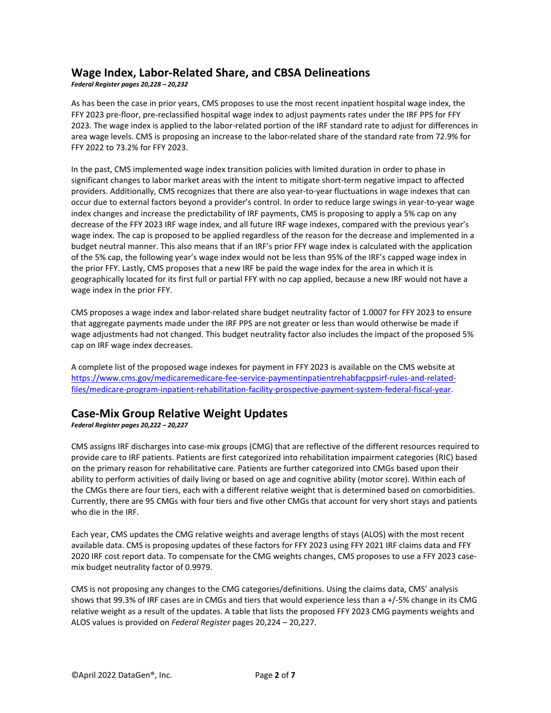## **Wage Index, Labor-Related Share, and CBSA Delineations**

*Federal Register pages 20,228 – 20,232*

As has been the case in prior years, CMS proposes to use the most recent inpatient hospital wage index, the FFY 2023 pre-floor, pre-reclassified hospital wage index to adjust payments rates under the IRF PPS for FFY 2023. The wage index is applied to the labor-related portion of the IRF standard rate to adjust for differences in area wage levels. CMS is proposing an increase to the labor-related share of the standard rate from 72.9% for FFY 2022 to 73.2% for FFY 2023.

In the past, CMS implemented wage index transition policies with limited duration in order to phase in significant changes to labor market areas with the intent to mitigate short-term negative impact to affected providers. Additionally, CMS recognizes that there are also year-to-year fluctuations in wage indexes that can occur due to external factors beyond a provider's control. In order to reduce large swings in year-to-year wage index changes and increase the predictability of IRF payments, CMS is proposing to apply a 5% cap on any decrease of the FFY 2023 IRF wage index, and all future IRF wage indexes, compared with the previous year's wage index. The cap is proposed to be applied regardless of the reason for the decrease and implemented in a budget neutral manner. This also means that if an IRF's prior FFY wage index is calculated with the application of the 5% cap, the following year's wage index would not be less than 95% of the IRF's capped wage index in the prior FFY. Lastly, CMS proposes that a new IRF be paid the wage index for the area in which it is geographically located for its first full or partial FFY with no cap applied, because a new IRF would not have a wage index in the prior FFY.

CMS proposes a wage index and labor-related share budget neutrality factor of 1.0007 for FFY 2023 to ensure that aggregate payments made under the IRF PPS are not greater or less than would otherwise be made if wage adjustments had not changed. This budget neutrality factor also includes the impact of the proposed 5% cap on IRF wage index decreases.

A complete list of the proposed wage indexes for payment in FFY 2023 is available on the CMS website at [https://www.cms.gov/medicaremedicare-fee-service-paymentinpatientrehabfacppsirf-rules-and-related](https://www.cms.gov/medicaremedicare-fee-service-paymentinpatientrehabfacppsirf-rules-and-related-files/medicare-program-inpatient-rehabilitation-facility-prospective-payment-system-federal-fiscal-year)[files/medicare-program-inpatient-rehabilitation-facility-prospective-payment-system-federal-fiscal-year.](https://www.cms.gov/medicaremedicare-fee-service-paymentinpatientrehabfacppsirf-rules-and-related-files/medicare-program-inpatient-rehabilitation-facility-prospective-payment-system-federal-fiscal-year) 

### **Case-Mix Group Relative Weight Updates**

*Federal Register pages 20,222 – 20,227*

CMS assigns IRF discharges into case-mix groups (CMG) that are reflective of the different resources required to provide care to IRF patients. Patients are first categorized into rehabilitation impairment categories (RIC) based on the primary reason for rehabilitative care. Patients are further categorized into CMGs based upon their ability to perform activities of daily living or based on age and cognitive ability (motor score). Within each of the CMGs there are four tiers, each with a different relative weight that is determined based on comorbidities. Currently, there are 95 CMGs with four tiers and five other CMGs that account for very short stays and patients who die in the IRF.

Each year, CMS updates the CMG relative weights and average lengths of stays (ALOS) with the most recent available data. CMS is proposing updates of these factors for FFY 2023 using FFY 2021 IRF claims data and FFY 2020 IRF cost report data. To compensate for the CMG weights changes, CMS proposes to use a FFY 2023 casemix budget neutrality factor of 0.9979.

CMS is not proposing any changes to the CMG categories/definitions. Using the claims data, CMS' analysis shows that 99.3% of IRF cases are in CMGs and tiers that would experience less than a +/-5% change in its CMG relative weight as a result of the updates. A table that lists the proposed FFY 2023 CMG payments weights and ALOS values is provided on *Federal Register* pages 20,224 – 20,227.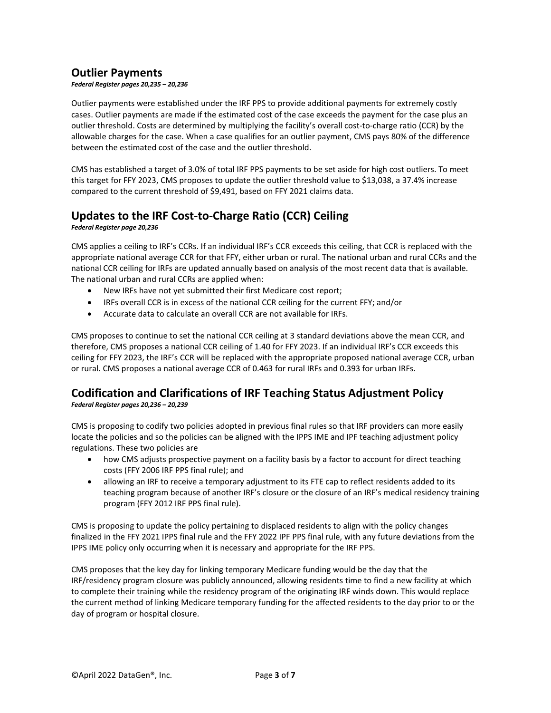## **Outlier Payments**

*Federal Register pages 20,235 – 20,236*

Outlier payments were established under the IRF PPS to provide additional payments for extremely costly cases. Outlier payments are made if the estimated cost of the case exceeds the payment for the case plus an outlier threshold. Costs are determined by multiplying the facility's overall cost-to-charge ratio (CCR) by the allowable charges for the case. When a case qualifies for an outlier payment, CMS pays 80% of the difference between the estimated cost of the case and the outlier threshold.

CMS has established a target of 3.0% of total IRF PPS payments to be set aside for high cost outliers. To meet this target for FFY 2023, CMS proposes to update the outlier threshold value to \$13,038, a 37.4% increase compared to the current threshold of \$9,491, based on FFY 2021 claims data.

## **Updates to the IRF Cost-to-Charge Ratio (CCR) Ceiling**

*Federal Register page 20,236*

CMS applies a ceiling to IRF's CCRs. If an individual IRF's CCR exceeds this ceiling, that CCR is replaced with the appropriate national average CCR for that FFY, either urban or rural. The national urban and rural CCRs and the national CCR ceiling for IRFs are updated annually based on analysis of the most recent data that is available. The national urban and rural CCRs are applied when:

- New IRFs have not yet submitted their first Medicare cost report;
- IRFs overall CCR is in excess of the national CCR ceiling for the current FFY; and/or
- Accurate data to calculate an overall CCR are not available for IRFs.

CMS proposes to continue to set the national CCR ceiling at 3 standard deviations above the mean CCR, and therefore, CMS proposes a national CCR ceiling of 1.40 for FFY 2023. If an individual IRF's CCR exceeds this ceiling for FFY 2023, the IRF's CCR will be replaced with the appropriate proposed national average CCR, urban or rural. CMS proposes a national average CCR of 0.463 for rural IRFs and 0.393 for urban IRFs.

## **Codification and Clarifications of IRF Teaching Status Adjustment Policy**

*Federal Register pages 20,236 – 20,239*

CMS is proposing to codify two policies adopted in previous final rules so that IRF providers can more easily locate the policies and so the policies can be aligned with the IPPS IME and IPF teaching adjustment policy regulations. These two policies are

- how CMS adjusts prospective payment on a facility basis by a factor to account for direct teaching costs (FFY 2006 IRF PPS final rule); and
- allowing an IRF to receive a temporary adjustment to its FTE cap to reflect residents added to its teaching program because of another IRF's closure or the closure of an IRF's medical residency training program (FFY 2012 IRF PPS final rule).

CMS is proposing to update the policy pertaining to displaced residents to align with the policy changes finalized in the FFY 2021 IPPS final rule and the FFY 2022 IPF PPS final rule, with any future deviations from the IPPS IME policy only occurring when it is necessary and appropriate for the IRF PPS.

CMS proposes that the key day for linking temporary Medicare funding would be the day that the IRF/residency program closure was publicly announced, allowing residents time to find a new facility at which to complete their training while the residency program of the originating IRF winds down. This would replace the current method of linking Medicare temporary funding for the affected residents to the day prior to or the day of program or hospital closure.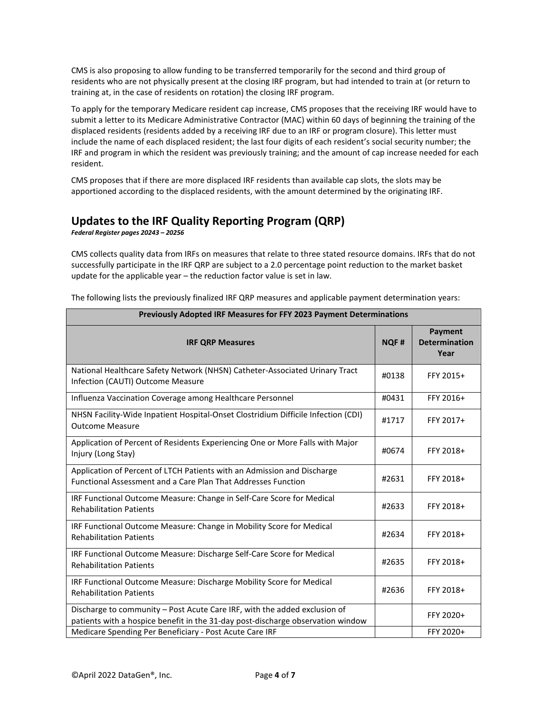CMS is also proposing to allow funding to be transferred temporarily for the second and third group of residents who are not physically present at the closing IRF program, but had intended to train at (or return to training at, in the case of residents on rotation) the closing IRF program.

To apply for the temporary Medicare resident cap increase, CMS proposes that the receiving IRF would have to submit a letter to its Medicare Administrative Contractor (MAC) within 60 days of beginning the training of the displaced residents (residents added by a receiving IRF due to an IRF or program closure). This letter must include the name of each displaced resident; the last four digits of each resident's social security number; the IRF and program in which the resident was previously training; and the amount of cap increase needed for each resident.

CMS proposes that if there are more displaced IRF residents than available cap slots, the slots may be apportioned according to the displaced residents, with the amount determined by the originating IRF.

## **Updates to the IRF Quality Reporting Program (QRP)**

*Federal Register pages 20243 – 20256*

CMS collects quality data from IRFs on measures that relate to three stated resource domains. IRFs that do not successfully participate in the IRF QRP are subject to a 2.0 percentage point reduction to the market basket update for the applicable year – the reduction factor value is set in law.

| <b>Previously Adopted IRF Measures for FFY 2023 Payment Determinations</b>                                                                                   |             |                                         |  |  |
|--------------------------------------------------------------------------------------------------------------------------------------------------------------|-------------|-----------------------------------------|--|--|
| <b>IRF QRP Measures</b>                                                                                                                                      | <b>NQF#</b> | Payment<br><b>Determination</b><br>Year |  |  |
| National Healthcare Safety Network (NHSN) Catheter-Associated Urinary Tract<br>Infection (CAUTI) Outcome Measure                                             | #0138       | FFY 2015+                               |  |  |
| Influenza Vaccination Coverage among Healthcare Personnel                                                                                                    | #0431       | FFY 2016+                               |  |  |
| NHSN Facility-Wide Inpatient Hospital-Onset Clostridium Difficile Infection (CDI)<br><b>Outcome Measure</b>                                                  | #1717       | FFY 2017+                               |  |  |
| Application of Percent of Residents Experiencing One or More Falls with Major<br>Injury (Long Stay)                                                          | #0674       | FFY 2018+                               |  |  |
| Application of Percent of LTCH Patients with an Admission and Discharge<br><b>Functional Assessment and a Care Plan That Addresses Function</b>              | #2631       | FFY 2018+                               |  |  |
| IRF Functional Outcome Measure: Change in Self-Care Score for Medical<br><b>Rehabilitation Patients</b>                                                      | #2633       | FFY 2018+                               |  |  |
| IRF Functional Outcome Measure: Change in Mobility Score for Medical<br><b>Rehabilitation Patients</b>                                                       | #2634       | FFY 2018+                               |  |  |
| IRF Functional Outcome Measure: Discharge Self-Care Score for Medical<br><b>Rehabilitation Patients</b>                                                      | #2635       | FFY 2018+                               |  |  |
| IRF Functional Outcome Measure: Discharge Mobility Score for Medical<br><b>Rehabilitation Patients</b>                                                       | #2636       | FFY 2018+                               |  |  |
| Discharge to community - Post Acute Care IRF, with the added exclusion of<br>patients with a hospice benefit in the 31-day post-discharge observation window |             | FFY 2020+                               |  |  |
| Medicare Spending Per Beneficiary - Post Acute Care IRF                                                                                                      |             | FFY 2020+                               |  |  |

The following lists the previously finalized IRF QRP measures and applicable payment determination years: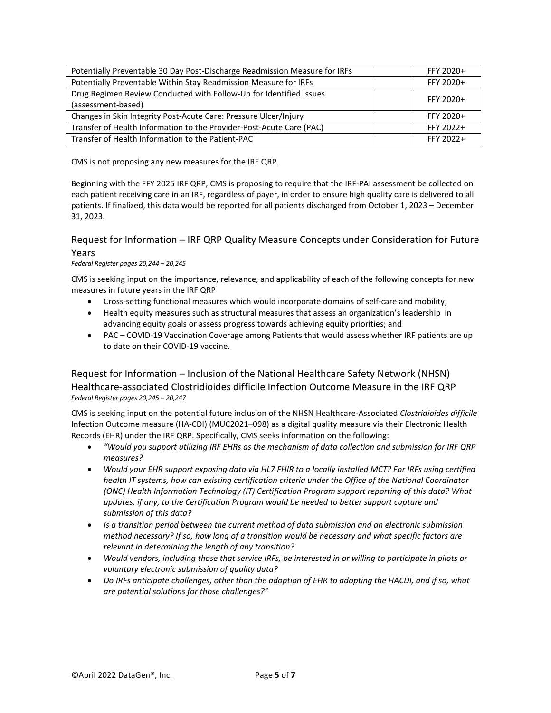| Potentially Preventable 30 Day Post-Discharge Readmission Measure for IRFs | FFY 2020+ |  |
|----------------------------------------------------------------------------|-----------|--|
| Potentially Preventable Within Stay Readmission Measure for IRFs           | FFY 2020+ |  |
| Drug Regimen Review Conducted with Follow-Up for Identified Issues         | FFY 2020+ |  |
| (assessment-based)                                                         |           |  |
| Changes in Skin Integrity Post-Acute Care: Pressure Ulcer/Injury           | FFY 2020+ |  |
| Transfer of Health Information to the Provider-Post-Acute Care (PAC)       | FFY 2022+ |  |
| Transfer of Health Information to the Patient-PAC                          | FFY 2022+ |  |

CMS is not proposing any new measures for the IRF QRP.

Beginning with the FFY 2025 IRF QRP, CMS is proposing to require that the IRF-PAI assessment be collected on each patient receiving care in an IRF, regardless of payer, in order to ensure high quality care is delivered to all patients. If finalized, this data would be reported for all patients discharged from October 1, 2023 – December 31, 2023.

#### Request for Information – IRF QRP Quality Measure Concepts under Consideration for Future Years

*Federal Register pages 20,244 – 20,245*

CMS is seeking input on the importance, relevance, and applicability of each of the following concepts for new measures in future years in the IRF QRP

- Cross-setting functional measures which would incorporate domains of self-care and mobility;
- Health equity measures such as structural measures that assess an organization's leadership in advancing equity goals or assess progress towards achieving equity priorities; and
- PAC COVID-19 Vaccination Coverage among Patients that would assess whether IRF patients are up to date on their COVID-19 vaccine.

Request for Information – Inclusion of the National Healthcare Safety Network (NHSN) Healthcare-associated Clostridioides difficile Infection Outcome Measure in the IRF QRP *Federal Register pages 20,245 – 20,247*

CMS is seeking input on the potential future inclusion of the NHSN Healthcare-Associated *Clostridioides difficile* Infection Outcome measure (HA-CDI) (MUC2021–098) as a digital quality measure via their Electronic Health Records (EHR) under the IRF QRP. Specifically, CMS seeks information on the following:

- *"Would you support utilizing IRF EHRs as the mechanism of data collection and submission for IRF QRP measures?*
- *Would your EHR support exposing data via HL7 FHIR to a locally installed MCT? For IRFs using certified health IT systems, how can existing certification criteria under the Office of the National Coordinator (ONC) Health Information Technology (IT) Certification Program support reporting of this data? What updates, if any, to the Certification Program would be needed to better support capture and submission of this data?*
- *Is a transition period between the current method of data submission and an electronic submission method necessary? If so, how long of a transition would be necessary and what specific factors are relevant in determining the length of any transition?*
- *Would vendors, including those that service IRFs, be interested in or willing to participate in pilots or voluntary electronic submission of quality data?*
- *Do IRFs anticipate challenges, other than the adoption of EHR to adopting the HACDI, and if so, what are potential solutions for those challenges?"*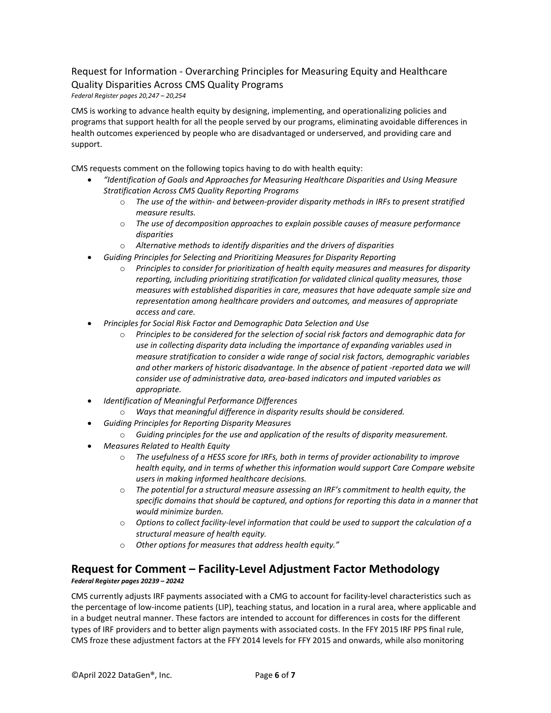## Request for Information - Overarching Principles for Measuring Equity and Healthcare Quality Disparities Across CMS Quality Programs

*Federal Register pages 20,247 – 20,254*

CMS is working to advance health equity by designing, implementing, and operationalizing policies and programs that support health for all the people served by our programs, eliminating avoidable differences in health outcomes experienced by people who are disadvantaged or underserved, and providing care and support.

CMS requests comment on the following topics having to do with health equity:

- *"Identification of Goals and Approaches for Measuring Healthcare Disparities and Using Measure Stratification Across CMS Quality Reporting Programs*
	- o *The use of the within- and between-provider disparity methods in IRFs to present stratified measure results.*
	- o *The use of decomposition approaches to explain possible causes of measure performance disparities*
	- o *Alternative methods to identify disparities and the drivers of disparities*
- *Guiding Principles for Selecting and Prioritizing Measures for Disparity Reporting*
	- o *Principles to consider for prioritization of health equity measures and measures for disparity reporting, including prioritizing stratification for validated clinical quality measures, those measures with established disparities in care, measures that have adequate sample size and representation among healthcare providers and outcomes, and measures of appropriate access and care.*
- *Principles for Social Risk Factor and Demographic Data Selection and Use*
	- o *Principles to be considered for the selection of social risk factors and demographic data for use in collecting disparity data including the importance of expanding variables used in measure stratification to consider a wide range of social risk factors, demographic variables and other markers of historic disadvantage. In the absence of patient -reported data we will consider use of administrative data, area-based indicators and imputed variables as appropriate.*
- *Identification of Meaningful Performance Differences*
	- o *Ways that meaningful difference in disparity results should be considered.*
- *Guiding Principles for Reporting Disparity Measures*
	- o *Guiding principles for the use and application of the results of disparity measurement.*
- *Measures Related to Health Equity*
	- o *The usefulness of a HESS score for IRFs, both in terms of provider actionability to improve health equity, and in terms of whether this information would support Care Compare website users in making informed healthcare decisions.*
	- o *The potential for a structural measure assessing an IRF's commitment to health equity, the specific domains that should be captured, and options for reporting this data in a manner that would minimize burden.*
	- o *Options to collect facility-level information that could be used to support the calculation of a structural measure of health equity.*
	- o *Other options for measures that address health equity."*

## **Request for Comment – Facility-Level Adjustment Factor Methodology**

*Federal Register pages 20239 – 20242*

CMS currently adjusts IRF payments associated with a CMG to account for facility-level characteristics such as the percentage of low-income patients (LIP), teaching status, and location in a rural area, where applicable and in a budget neutral manner. These factors are intended to account for differences in costs for the different types of IRF providers and to better align payments with associated costs. In the FFY 2015 IRF PPS final rule, CMS froze these adjustment factors at the FFY 2014 levels for FFY 2015 and onwards, while also monitoring